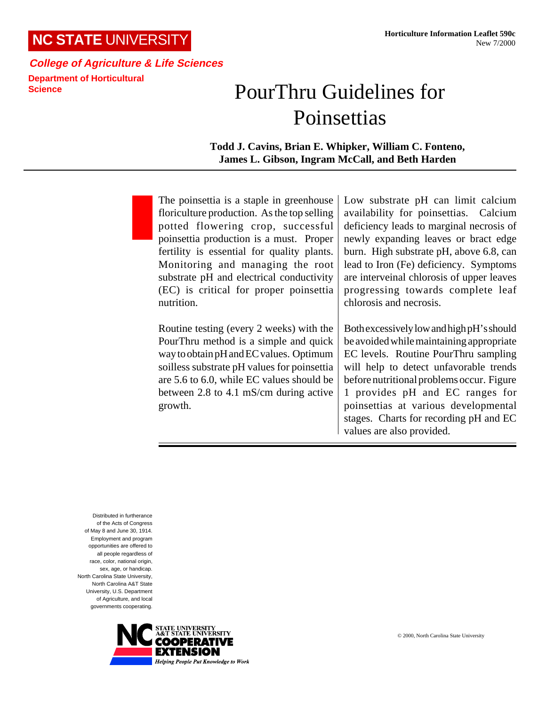## **NC STATE** UNIVERSITY

## **College of Agriculture & Life Sciences Department of Horticultural Science**

## PourThru Guidelines for **Poinsettias**

## **Todd J. Cavins, Brian E. Whipker, William C. Fonteno, James L. Gibson, Ingram McCall, and Beth Harden**

The poinsettia is a staple in greenhouse floriculture production. As the top selling potted flowering crop, successful poinsettia production is a must. Proper fertility is essential for quality plants. Monitoring and managing the root substrate pH and electrical conductivity (EC) is critical for proper poinsettia nutrition.

Routine testing (every 2 weeks) with the PourThru method is a simple and quick way to obtain pH and EC values. Optimum soilless substrate pH values for poinsettia are 5.6 to 6.0, while EC values should be between 2.8 to 4.1 mS/cm during active growth.

Low substrate pH can limit calcium availability for poinsettias. Calcium deficiency leads to marginal necrosis of newly expanding leaves or bract edge burn. High substrate pH, above 6.8, can lead to Iron (Fe) deficiency. Symptoms are interveinal chlorosis of upper leaves progressing towards complete leaf chlorosis and necrosis.

Both excessively low and high pH's should be avoided while maintaining appropriate EC levels. Routine PourThru sampling will help to detect unfavorable trends before nutritional problems occur. Figure 1 provides pH and EC ranges for poinsettias at various developmental stages. Charts for recording pH and EC values are also provided.

Distributed in furtherance of the Acts of Congress of May 8 and June 30, 1914. Employment and program opportunities are offered to all people regardless of race, color, national origin, sex, age, or handicap. North Carolina State University, North Carolina A&T State University, U.S. Department of Agriculture, and local governments cooperating.

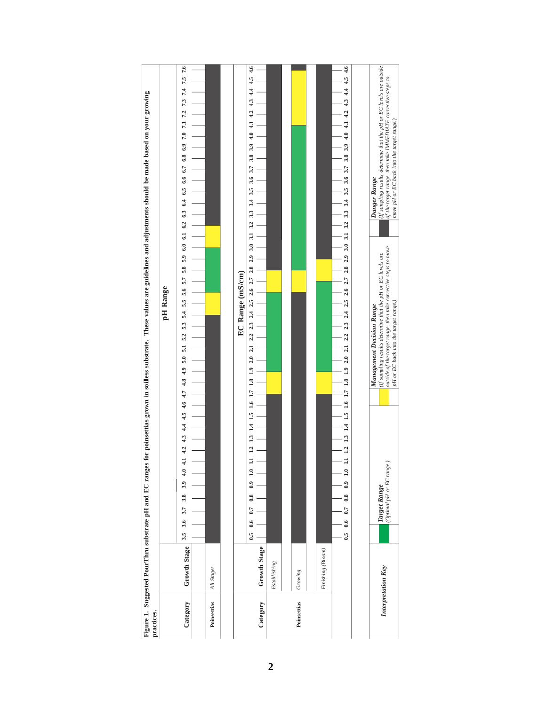| practices.  |                    | for poinsettias grown in soilless substrate. These values are guidelines and adjustments should be made based on your growing<br>Figure 1. Suggested PourThru substrate pH and EC ranges                                                                                                                                                                                                                                                               |
|-------------|--------------------|--------------------------------------------------------------------------------------------------------------------------------------------------------------------------------------------------------------------------------------------------------------------------------------------------------------------------------------------------------------------------------------------------------------------------------------------------------|
|             |                    | pH Range                                                                                                                                                                                                                                                                                                                                                                                                                                               |
| Category    | Growth Stage       | 7.5 7.6<br>7.4<br>7.3<br>5.9 6.0 6.1 6.2 6.3 6.4 6.5 6.6 6.7 6.8 6.9 7.0 7.1 7.2<br>5.8<br>5.4 5.5 5.6 5.7<br>53<br>52<br>$\overline{5}$<br>$\overline{5}$ .0<br>$^{4.9}$<br>$4.2$ $4.3$ $4.4$ $4.5$ $4.6$ $4.7$ $4.8$<br>$\overline{4}$<br>$\ddot{ }$<br>3.9<br>3.8<br>3.7<br>3.6<br>$3.5\,$                                                                                                                                                          |
| Poinsettias | All Stages         |                                                                                                                                                                                                                                                                                                                                                                                                                                                        |
|             |                    |                                                                                                                                                                                                                                                                                                                                                                                                                                                        |
| Category    | Growth Stage       | 4.6<br>4.5<br>4.4<br>4.3<br>4.2<br>$\ddot{ }$<br>4.0<br>3.9<br>3.8<br>3.7<br>3.6<br>3.5<br>3.4<br>3.3<br>3.2<br>3.1<br>3.0<br>2.9<br>$2.2$ $2.3$ $2.4$ $2.5$ $2.6$ $2.7$ $2.8$<br>EC Range (mS/cm)<br>2.1<br>2.0<br>$\frac{1}{2}$<br>1.8<br>1.6 1.7<br>$\frac{5}{1}$<br>14<br>1.3<br>1.2<br>$\ddot{=}$<br>$\ddot{0}$<br>$\ddot{\phantom{0}}$<br>0.7<br>6.6<br>$\ddot{6}$                                                                               |
|             | Establishing       |                                                                                                                                                                                                                                                                                                                                                                                                                                                        |
| Poinsettias | Growing            |                                                                                                                                                                                                                                                                                                                                                                                                                                                        |
|             | Finishing (Bloom)  |                                                                                                                                                                                                                                                                                                                                                                                                                                                        |
|             |                    | 4.6<br>4.5<br>3.3 3.4 3.5 3.6 3.7 3.8 3.9 4.1 4.1 4.2 4.3 4.4<br>2.4 2.5 2.6 2.7 2.8 2.9 3.0 3.1 3.2<br>2.3<br>1 12 13 14 15 16 17 18 19 20 21 22<br>$\mathbf{C}$<br>0.9<br>0.8<br>0.7<br>0.6<br>$\ddot{\phantom{0}}$                                                                                                                                                                                                                                  |
|             |                    |                                                                                                                                                                                                                                                                                                                                                                                                                                                        |
|             | Interpretation Key | (If sampling results determine that the pH or EC levels are outside<br>of the target range, then take IMMEDIATE corrective steps to<br>move pH or EC back into the target range.)<br>Danger Range<br>outside of the target range, then take corrective steps to move<br>(If sampling results determine that the pH or EC levels are<br>pH or EC back into the target range.)<br>Management Decision Range<br>(Optimal pH or EC range.)<br>Target Range |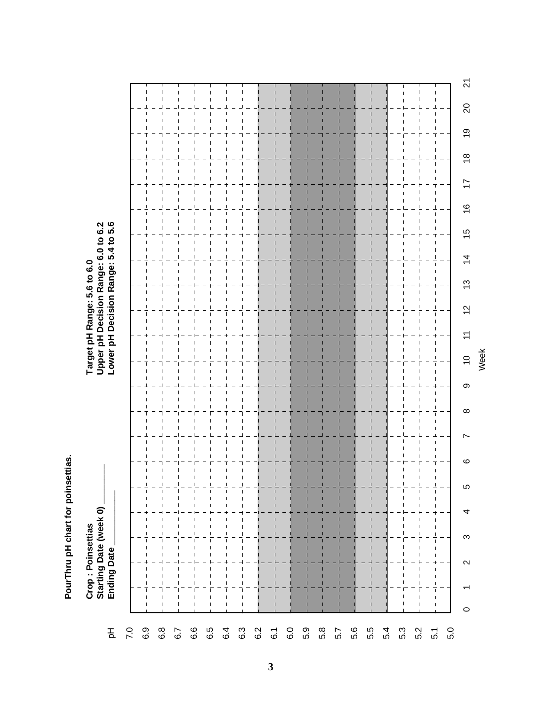PourThru pH chart for poinsettias. **PourThru pH chart for poinsettias.**

**Crop : Poinsettias Target pH Range: 5.6 to 6.0** Crop : Poinsettias<br>Starting Date (week 0) \_<br>Ending Date

Target pH Range: 5.6 to 6.0<br>Upper pH Decision Range: 6.0 to 6.2<br>Lower pH Decision Range: 5.4 to 5.6 **Starting Date (week 0) \_\_\_\_\_\_\_\_ Upper pH Decision Range: 6.0 to 6.2 Ending Date \_\_\_\_\_\_\_\_\_\_\_ Lower pH Decision Range: 5.4 to 5.6**